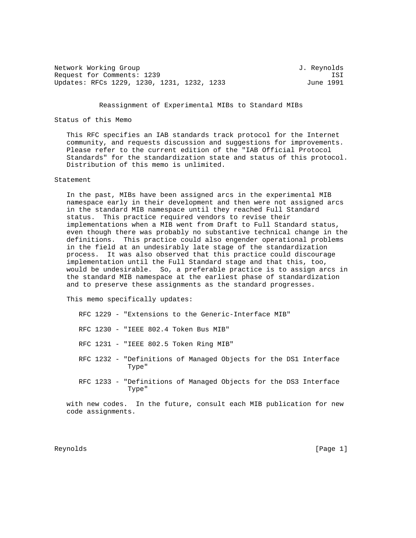Network Working Group 3. Network J. Reynolds Request for Comments: 1239 ISI Updates: RFCs 1229, 1230, 1231, 1232, 1233

#### Reassignment of Experimental MIBs to Standard MIBs

### Status of this Memo

 This RFC specifies an IAB standards track protocol for the Internet community, and requests discussion and suggestions for improvements. Please refer to the current edition of the "IAB Official Protocol Standards" for the standardization state and status of this protocol. Distribution of this memo is unlimited.

#### Statement

 In the past, MIBs have been assigned arcs in the experimental MIB namespace early in their development and then were not assigned arcs in the standard MIB namespace until they reached Full Standard status. This practice required vendors to revise their implementations when a MIB went from Draft to Full Standard status, even though there was probably no substantive technical change in the definitions. This practice could also engender operational problems in the field at an undesirably late stage of the standardization process. It was also observed that this practice could discourage implementation until the Full Standard stage and that this, too, would be undesirable. So, a preferable practice is to assign arcs in the standard MIB namespace at the earliest phase of standardization and to preserve these assignments as the standard progresses.

This memo specifically updates:

|  |  | RFC 1229 - "Extensions to the Generic-Interface MIB"                      |
|--|--|---------------------------------------------------------------------------|
|  |  | RFC 1230 - "IEEE 802.4 Token Bus MIB"                                     |
|  |  | RFC 1231 - "IEEE 802.5 Token Ring MIB"                                    |
|  |  | RFC 1232 - "Definitions of Managed Objects for the DS1 Interface<br>Type" |
|  |  | RFC 1233 - "Definitions of Managed Objects for the DS3 Interface<br>Type" |
|  |  |                                                                           |

 with new codes. In the future, consult each MIB publication for new code assignments.

Reynolds [Page 1]